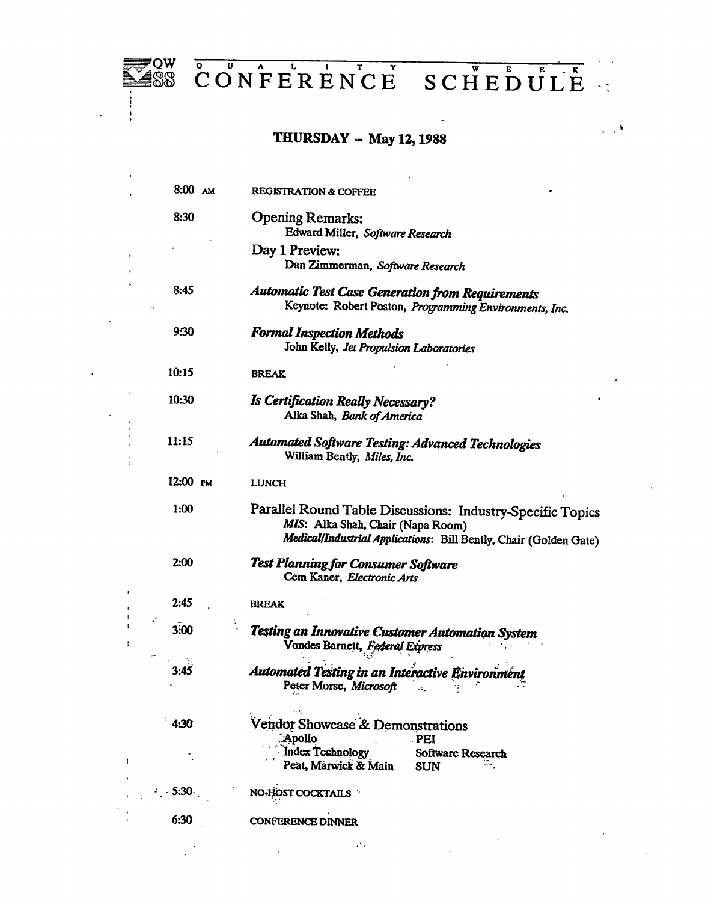

 $\sim 10$ 

 $\overline{a}$ 

**CONFERENCE SCHEDULE** 

 $\ddot{\phantom{a}}$ 

 $\mathcal{L}_{\mathcal{L}}$ 

## **THURSDAY — May 12, 1988**

| $8:00$ AM | <b>REGISTRATION &amp; COFFEE</b>                                                                                                                                     |
|-----------|----------------------------------------------------------------------------------------------------------------------------------------------------------------------|
| 8:30      | <b>Opening Remarks:</b><br>Edward Miller, Software Research                                                                                                          |
|           | Day 1 Preview:<br>Dan Zimmerman, Software Research                                                                                                                   |
| 8:45      | Automatic Test Case Generation from Requirements<br>Keynote: Robert Poston, Programming Environments, Inc.                                                           |
| 9:30      | <b>Formal Inspection Methods</b><br>John Kelly, Jet Propulsion Laboratories                                                                                          |
| 10:15     | <b>BREAK</b>                                                                                                                                                         |
| 10:30     | <b>Is Certification Really Necessary?</b><br>Alka Shah, Bank of America                                                                                              |
| 11:15     | Automated Software Testing: Advanced Technologies<br>William Bently, Miles, Inc.                                                                                     |
| 12:00 PM  | <b>LUNCH</b>                                                                                                                                                         |
| 1:00      | Parallel Round Table Discussions: Industry-Specific Topics<br>MIS: Alka Shah, Chair (Napa Room)<br>Medical/Industrial Applications: Bill Bently, Chair (Golden Gate) |
| 2:00      | Test Planning for Consumer Software<br>Cem Kaner, Electronic Arts                                                                                                    |
| 2:45      | <b>BREAK</b>                                                                                                                                                         |
| 3:00      | Testing an Innovative Customer Automation System<br>Vondes Barnett, Federal Express                                                                                  |
| 3:45      | Automated Testing in an Interactive Environment<br>Peter Morse, Microsoft                                                                                            |
| 4:30      | Vendor Showcase & Demonstrations<br>Apollo:<br><b>PEI</b>                                                                                                            |
|           | Index Technology<br>Software Research<br>Peat, Marwick & Main<br><b>SUN</b>                                                                                          |
| $-5:30.$  | NO-HOST COCKTAILS                                                                                                                                                    |
| 6:30.     | <b>CONFERENCE DINNER</b>                                                                                                                                             |
|           |                                                                                                                                                                      |